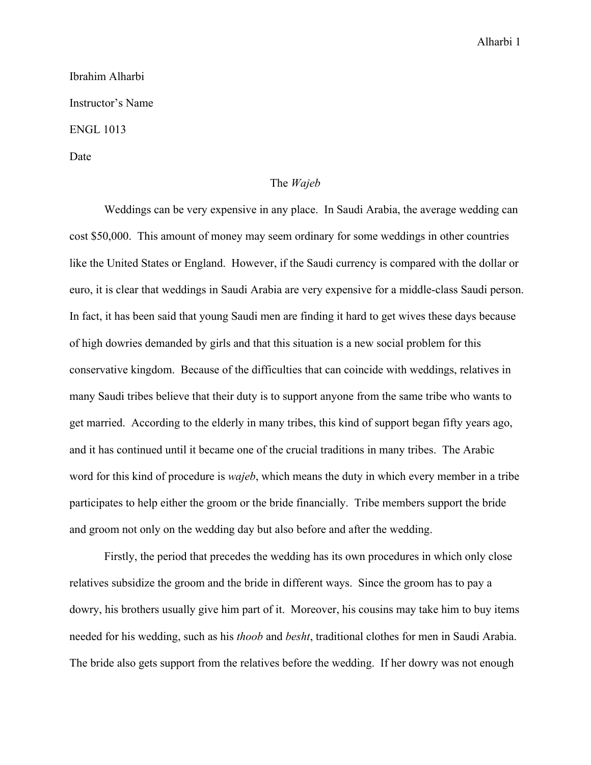## Alharbi 1

## Ibrahim Alharbi Instructor's Name ENGL 1013

Date

## The *Wajeb*

Weddings can be very expensive in any place. In Saudi Arabia, the average wedding can cost \$50,000. This amount of money may seem ordinary for some weddings in other countries like the United States or England. However, if the Saudi currency is compared with the dollar or euro, it is clear that weddings in Saudi Arabia are very expensive for a middle-class Saudi person. In fact, it has been said that young Saudi men are finding it hard to get wives these days because of high dowries demanded by girls and that this situation is a new social problem for this conservative kingdom. Because of the difficulties that can coincide with weddings, relatives in many Saudi tribes believe that their duty is to support anyone from the same tribe who wants to get married. According to the elderly in many tribes, this kind of support began fifty years ago, and it has continued until it became one of the crucial traditions in many tribes. The Arabic word for this kind of procedure is *wajeb*, which means the duty in which every member in a tribe participates to help either the groom or the bride financially. Tribe members support the bride and groom not only on the wedding day but also before and after the wedding.

Firstly, the period that precedes the wedding has its own procedures in which only close relatives subsidize the groom and the bride in different ways. Since the groom has to pay a dowry, his brothers usually give him part of it. Moreover, his cousins may take him to buy items needed for his wedding, such as his *thoob* and *besht*, traditional clothes for men in Saudi Arabia. The bride also gets support from the relatives before the wedding. If her dowry was not enough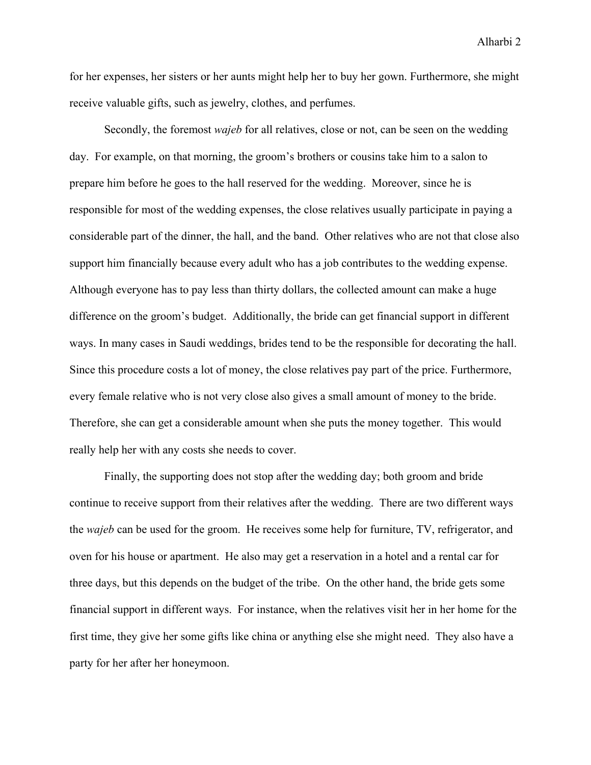Alharbi 2

for her expenses, her sisters or her aunts might help her to buy her gown. Furthermore, she might receive valuable gifts, such as jewelry, clothes, and perfumes.

Secondly, the foremost *wajeb* for all relatives, close or not, can be seen on the wedding day. For example, on that morning, the groom's brothers or cousins take him to a salon to prepare him before he goes to the hall reserved for the wedding. Moreover, since he is responsible for most of the wedding expenses, the close relatives usually participate in paying a considerable part of the dinner, the hall, and the band. Other relatives who are not that close also support him financially because every adult who has a job contributes to the wedding expense. Although everyone has to pay less than thirty dollars, the collected amount can make a huge difference on the groom's budget. Additionally, the bride can get financial support in different ways. In many cases in Saudi weddings, brides tend to be the responsible for decorating the hall. Since this procedure costs a lot of money, the close relatives pay part of the price. Furthermore, every female relative who is not very close also gives a small amount of money to the bride. Therefore, she can get a considerable amount when she puts the money together. This would really help her with any costs she needs to cover.

Finally, the supporting does not stop after the wedding day; both groom and bride continue to receive support from their relatives after the wedding. There are two different ways the *wajeb* can be used for the groom. He receives some help for furniture, TV, refrigerator, and oven for his house or apartment. He also may get a reservation in a hotel and a rental car for three days, but this depends on the budget of the tribe. On the other hand, the bride gets some financial support in different ways. For instance, when the relatives visit her in her home for the first time, they give her some gifts like china or anything else she might need. They also have a party for her after her honeymoon.